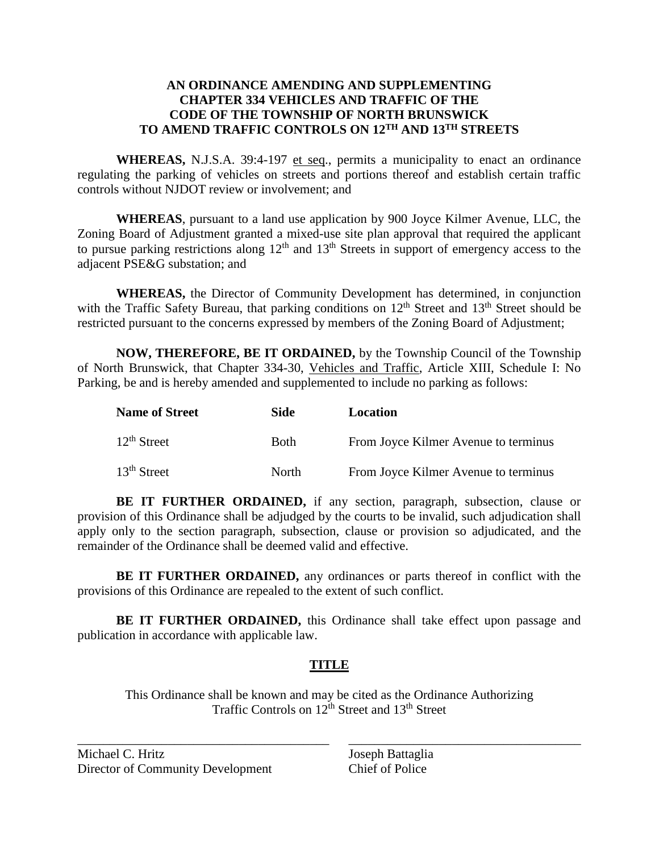## **AN ORDINANCE AMENDING AND SUPPLEMENTING CHAPTER 334 VEHICLES AND TRAFFIC OF THE CODE OF THE TOWNSHIP OF NORTH BRUNSWICK TO AMEND TRAFFIC CONTROLS ON 12TH AND 13TH STREETS**

**WHEREAS,** N.J.S.A. 39:4-197 et seq., permits a municipality to enact an ordinance regulating the parking of vehicles on streets and portions thereof and establish certain traffic controls without NJDOT review or involvement; and

**WHEREAS**, pursuant to a land use application by 900 Joyce Kilmer Avenue, LLC, the Zoning Board of Adjustment granted a mixed-use site plan approval that required the applicant to pursue parking restrictions along  $12<sup>th</sup>$  and  $13<sup>th</sup>$  Streets in support of emergency access to the adjacent PSE&G substation; and

**WHEREAS,** the Director of Community Development has determined, in conjunction with the Traffic Safety Bureau, that parking conditions on 12<sup>th</sup> Street and 13<sup>th</sup> Street should be restricted pursuant to the concerns expressed by members of the Zoning Board of Adjustment;

**NOW, THEREFORE, BE IT ORDAINED,** by the Township Council of the Township of North Brunswick, that Chapter 334-30, Vehicles and Traffic, Article XIII, Schedule I: No Parking, be and is hereby amended and supplemented to include no parking as follows:

| <b>Name of Street</b> | Side         | Location                             |
|-----------------------|--------------|--------------------------------------|
| $12th$ Street         | <b>Both</b>  | From Joyce Kilmer Avenue to terminus |
| $13th$ Street         | <b>North</b> | From Joyce Kilmer Avenue to terminus |

**BE IT FURTHER ORDAINED,** if any section, paragraph, subsection, clause or provision of this Ordinance shall be adjudged by the courts to be invalid, such adjudication shall apply only to the section paragraph, subsection, clause or provision so adjudicated, and the remainder of the Ordinance shall be deemed valid and effective.

**BE IT FURTHER ORDAINED,** any ordinances or parts thereof in conflict with the provisions of this Ordinance are repealed to the extent of such conflict.

**BE IT FURTHER ORDAINED,** this Ordinance shall take effect upon passage and publication in accordance with applicable law.

# **TITLE**

This Ordinance shall be known and may be cited as the Ordinance Authorizing Traffic Controls on  $12<sup>th</sup>$  Street and  $13<sup>th</sup>$  Street

\_\_\_\_\_\_\_\_\_\_\_\_\_\_\_\_\_\_\_\_\_\_\_\_\_\_\_\_\_\_\_\_\_\_\_\_\_\_\_ \_\_\_\_\_\_\_\_\_\_\_\_\_\_\_\_\_\_\_\_\_\_\_\_\_\_\_\_\_\_\_\_\_\_\_\_